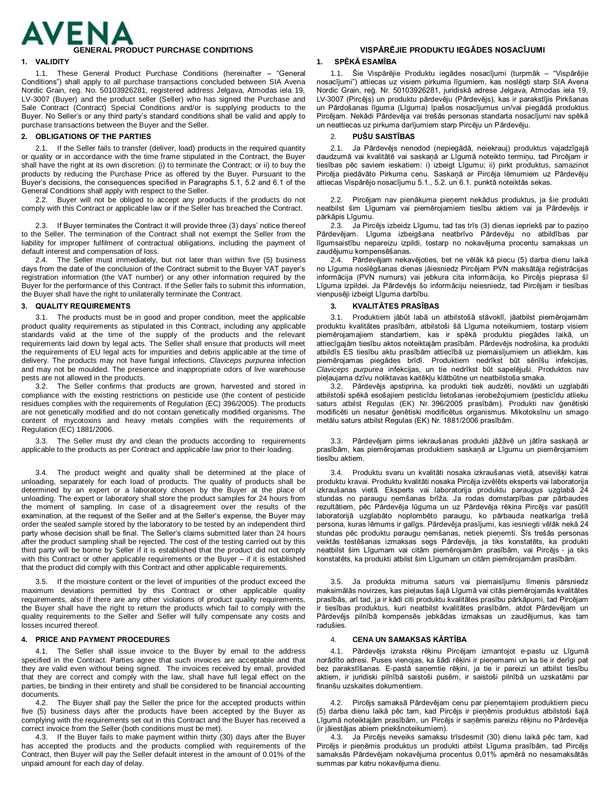

1.1. These General Product Purchase Conditions (hereinafter – "General Conditions") shall apply to all purchase transactions concluded between SIA Avena Nordic Grain, reg. No. 50103926281, registered address Jelgava, Atmodas iela 19, LV-3007 (Buyer) and the product seller (Seller) who has signed the Purchase and Sale Contract (Contract) Special Conditions and/or is supplying products to the Buyer. No Seller's or any third party's standard conditions shall be valid and apply to purchase transactions between the Buyer and the Seller.

# **2. OBLIGATIONS OF THE PARTIES** 2. **PUŠU SAISTĪBAS**

2.1. If the Seller fails to transfer (deliver, load) products in the required quantity or quality or in accordance with the time frame stipulated in the Contract, the Buyer shall have the right at its own discretion: (i) to terminate the Contract; or ii) to buy the products by reducing the Purchase Price as offered by the Buyer. Pursuant to the Buyer's decisions, the consequences specified in Paragraphs 5.1, 5.2 and 6.1 of the General Conditions shall apply with respect to the Seller.

2.2. Buyer will not be obliged to accept any products if the products do not comply with this Contract or applicable law or if the Seller has breached the Contract.

2.3. If Buyer terminates the Contract it will provide three (3) days' notice thereof to the Seller. The termination of the Contract shall not exempt the Seller from the liability for improper fulfilment of contractual obligations, including the payment of default interest and compensation of loss.

2.4. The Seller must immediately, but not later than within five (5) business days from the date of the conclusion of the Contract submit to the Buyer VAT payer's registration information (the VAT number) or any other information required by the Buyer for the performance of this Contract. If the Seller fails to submit this information, the Buyer shall have the right to unilaterally terminate the Contract.

3.1. The products must be in good and proper condition, meet the applicable product quality requirements as stipulated in this Contract, including any applicable standards valid at the time of the supply of the products and the relevant requirements laid down by legal acts. The Seller shall ensure that products will meet the requirements of EU legal acts for impurities and debris applicable at the time of delivery. The products may not have fungal infections, *Claviceps purpurea* infection and may not be moulded. The presence and inappropriate odors of live warehouse pests are not allowed in the products.

3.2. The Seller confirms that products are grown, harvested and stored in compliance with the existing restrictions on pesticide use (the content of pesticide residues complies with the requirements of Regulation (EC) 396/2005). The products are not genetically modified and do not contain genetically modified organisms. The content of mycotoxins and heavy metals complies with the requirements of Regulation (EC) 1881/2006.

3.3. The Seller must dry and clean the products according to requirements applicable to the products as per Contract and applicable law prior to their loading.

3.4. The product weight and quality shall be determined at the place of unloading, separately for each load of products. The quality of products shall be determined by an expert or a laboratory chosen by the Buyer at the place of unloading. The expert or laboratory shall store the product samples for 24 hours from the moment of sampling. In case of a disagreement over the results of the examination, at the request of the Seller and at the Seller's expense, the Buyer may order the sealed sample stored by the laboratory to be tested by an independent third party whose decision shall be final. The Seller's claims submitted later than 24 hours after the product sampling shall be rejected. The cost of the testing carried out by this third party will be borne by Seller if it is established that the product did not comply with this Contract or other applicable requirements or the Buyer – if it is established that the product did comply with this Contract and other applicable requirements.

3.5. If the moisture content or the level of impurities of the product exceed the maximum deviations permitted by this Contract or other applicable quality requirements, also if there are any other violations of product quality requirements, the Buyer shall have the right to return the products which fail to comply with the quality requirements to the Seller and Seller will fully compensate any costs and losses incurred thereof.

## **4. PRICE AND PAYMENT PROCEDURES** 4. **CENA UN SAMAKSAS KĀRTĪBA**

4.1. The Seller shall issue invoice to the Buyer by email to the address specified in the Contract. Parties agree that such invoices are acceptable and that they are valid even without being signed. The invoices received by email, provided that they are correct and comply with the law, shall have full legal effect on the parties, be binding in their entirety and shall be considered to be financial accounting documents.

4.2. The Buyer shall pay the Seller the price for the accepted products within five (5) business days after the products have been accepted by the Buyer as complying with the requirements set out in this Contract and the Buyer has received a correct invoice from the Seller (both conditions must be met).

4.3. If the Buyer fails to make payment within thirty (30) days after the Buyer has accepted the products and the products complied with requirements of the Contract, then Buyer will pay the Seller default interest in the amount of 0.01% of the unpaid amount for each day of delay.

# **GENERAL PRODUCT PURCHASE CONDITIONS VISPĀRĒJIE PRODUKTU IEGĀDES NOSACĪJUMI**

# **1. VALIDITY 1. SPĒKĀ ESAMĪBA**

1.1. Šie Vispārējie Produktu iegādes nosacījumi (turpmāk – "Vispārējie nosacījumi") attiecas uz visiem pirkuma līgumiem, kas noslēgti starp SIA Avena Nordic Grain, reģ. Nr. 50103926281, juridiskā adrese Jelgava, Atmodas iela 19, LV-3007 (Pircējs) un produktu pārdevēju (Pārdevējs), kas ir parakstījis Pirkšanas un Pārdošanas līguma (Līguma) īpašos nosacījumus un/vai piegādā produktus Pircējam. Nekādi Pārdevēja vai trešās personas standarta nosacījumi nav spēkā un neattiecas uz pirkuma darījumiem starp Pircēju un Pārdevēju.

2.1. Ja Pārdevējs nenodod (nepiegādā, neiekrauj) produktus vajadzīgajā daudzumā vai kvalitātē vai saskaņā ar Līgumā noteikto termiņu, tad Pircējam ir tiesības pēc saviem ieskatiem: i) izbeigt Līgumu; ii) pirkt produktus, samazinot Pircēja piedāvāto Pirkuma cenu. Saskaņā ar Pircēja lēmumiem uz Pārdevēju attiecas Vispārējo nosacījumu 5.1., 5.2. un 6.1. punktā noteiktās sekas.

2.2. Pircējam nav pienākuma pieņemt nekādus produktus, ja šie produkti neatbilst šim Līgumam vai piemērojamiem tiesību aktiem vai ja Pārdevējs ir pārkāpis Līgumu.

2.3. Ja Pircējs izbeidz Līgumu, tad tas trīs (3) dienas iepriekš par to paziņo Pārdevējam. Līguma izbeigšana neatbrīvo Pārdevēju no atbildības par līgumsaistību nepareizu izpildi, tostarp no nokavējuma procentu samaksas un zaudējumu kompensēšanas.

2.4. Pārdevējam nekavējoties, bet ne vēlāk kā piecu (5) darba dienu laikā no Līguma noslēgšanas dienas jāiesniedz Pircējam PVN maksātāja reģistrācijas informācija (PVN numurs) vai jebkura cita informācija, ko Pircējs pieprasa šī Līguma izpildei. Ja Pārdevējs šo informāciju neiesniedz, tad Pircējam ir tiesības vienpusēji izbeigt Līguma darbību.

## **3. QUALITY REQUIREMENTS 3. KVALITĀTES PRASĪBAS**

3.1. Produktiem jābūt labā un atbilstošā stāvoklī, jāatbilst piemērojamām produktu kvalitātes prasībām, atbilstoši šā Līguma noteikumiem, tostarp visiem piemērojamajiem standartiem, kas ir spēkā produktu piegādes laikā, un attiecīgajām tiesību aktos noteiktajām prasībām. Pārdevējs nodrošina, ka produkti atbildīs ES tiesību aktu prasībām attiecībā uz piemaisījumiem un atliekām, kas piemērojamas piegādes brīdī. Produktiem nedrīkst būt sēnīšu infekcijas, *Claviceps purpurea* infekcijas, un tie nedrīkst būt sapelējuši. Produktos nav pieļaujama dzīvu noliktavas kaitēkļu klātbūtne un neatbilstoša smaka.

3.2. Pārdevējs apstiprina, ka produkti tiek audzēti, novākti un uzglabāti atbilstoši spēkā esošajiem pesticīdu lietošanas ierobežojumiem (pesticīdu atlieku saturs atbilst Regulas (EK) Nr. 396/2005 prasībām). Produkti nav ģenētiski modificēti un nesatur ģenētiski modificētus organismus. Mikotoksīnu un smago metālu saturs atbilst Regulas (EK) Nr. 1881/2006 prasībām.

3.3. Pārdevējam pirms iekraušanas produkti jāžāvē un jātīra saskaņā ar prasībām, kas piemērojamas produktiem saskaņā ar Līgumu un piemērojamiem tiesību aktiem.

3.4. Produktu svaru un kvalitāti nosaka izkraušanas vietā, atsevišķi katrai produktu kravai. Produktu kvalitāti nosaka Pircēja izvēlēts eksperts vai laboratorija izkraušanas vietā. Eksperts vai laboratorija produktu paraugus uzglabā 24 stundas no paraugu ņemšanas brīža. Ja rodas domstarpības par pārbaudes rezultātiem, pēc Pārdevēja lūguma un uz Pārdevēja rēķina Pircējs var pasūtīt laboratorijā uzglabāto noplombēto paraugu, ko pārbauda neatkarīga trešā persona, kuras lēmums ir galīgs. Pārdevēja prasījumi, kas iesniegti vēlāk nekā 24 stundas pēc produktu paraugu ņemšanas, netiek pieņemti. Šīs trešās personas veiktās testēšanas izmaksas segs Pārdevējs, ja tiks konstatēts, ka produkti neatbilst šim Līgumam vai citām piemērojamām prasībām, vai Pircējs - ja tiks konstatēts, ka produkti atbilst šim Līgumam un citām piemērojamām prasībām.

3.5. Ja produkta mitruma saturs vai piemaisījumu līmenis pārsniedz maksimālās novirzes, kas pieļautas šajā Līgumā vai citās piemērojamās kvalitātes prasībās, arī tad, ja ir kādi citi produktu kvalitātes prasību pārkāpumi, tad Pircējam ir tiesības produktus, kuri neatbilst kvalitātes prasībām, atdot Pārdevējam un Pārdevējs pilnībā kompensēs jebkādas izmaksas un zaudējumus, kas tam radušies.

4.1. Pārdevējs izraksta rēķinu Pircējam izmantojot e-pastu uz Līgumā norādīto adresi. Puses vienojas, ka šādi rēķini ir pieņemami un ka tie ir derīgi pat bez parakstīšanas. E-pastā saņemtie rēķini, ja tie ir pareizi un atbilst tiesību aktiem, ir juridiski pilnībā saistoši pusēm, ir saistoši pilnībā un uzskatāmi par finanšu uzskaites dokumentiem.

4.2. Pircējs samaksā Pārdevējam cenu par pieņemtajiem produktiem piecu (5) darba dienu laikā pēc tam, kad Pircējs ir pieņēmis produktus atbilstoši šajā Līgumā noteiktajām prasībām, un Pircējs ir saņēmis pareizu rēķinu no Pārdevēja (ir jāiestājas abiem priekšnoteikumiem).

4.3. Ja Pircējs neveiks samaksu trīsdesmit (30) dienu laikā pēc tam, kad Pircējs ir pieņēmis produktus un produkti atbilst Līguma prasībām, tad Pircējs samaksās Pārdevējam nokavējuma procentus 0,01% apmērā no nesamaksātās summas par katru nokavējuma dienu.